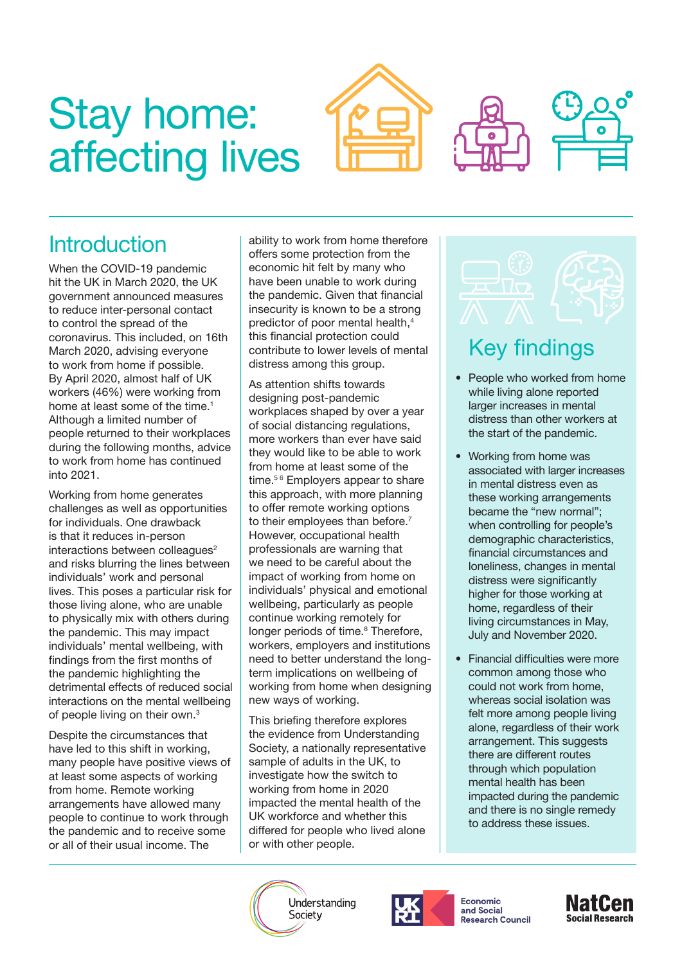# <span id="page-0-0"></span>Stay home: affecting lives

## **Introduction**

When the COVID-19 pandemic hit the UK in March 2020, the UK government announced measures to reduce inter-personal contact to control the spread of the coronavirus. This included, on 16th March 2020, advising everyone to work from home if possible. By April 2020, almost half of UK workers (46%) were working from home at least some of the time.<sup>1</sup> Although a limited number of people returned to their workplaces during the following months, advice to work from home has continued into 2021.

Working from home generates challenges as well as opportunities for individuals. One drawback is that it reduces in-person interactions between colleagues<sup>2</sup> and risks blurring the lines between individuals' work and personal lives. This poses a particular risk for those living alone, who are unable to physically mix with others during the pandemic. This may impact individuals' mental wellbeing, with findings from the first months of the pandemic highlighting the detrimental effects of reduced social interactions on the mental wellbeing of people living on their own[.3](#page-4-0)

Despite the circumstances that have led to this shift in working, many people have positive views of at least some aspects of working from home. Remote working arrangements have allowed many people to continue to work through the pandemic and to receive some or all of their usual income. The

ability to work from home therefore offers some protection from the economic hit felt by many who have been unable to work during the pandemic. Given that financial insecurity is known to be a strong predictor of poor mental health,<sup>4</sup> this financial protection could contribute to lower levels of mental distress among this group.

As attention shifts towards designing post-pandemic workplaces shaped by over a year of social distancing regulations, more workers than ever have said they would like to be able to work from home at least some of the time.<sup>56</sup> Employers appear to share this approach, with more planning to offer remote working options to their employees than before.<sup>7</sup> However, occupational health professionals are warning that we need to be careful about the impact of working from home on individuals' physical and emotional wellbeing, particularly as people continue working remotely for longer periods of time.<sup>[8](#page-4-0)</sup> Therefore, workers, employers and institutions need to better understand the longterm implications on wellbeing of working from home when designing new ways of working.

This briefing therefore explores the evidence from Understanding Society, a nationally representative sample of adults in the UK, to investigate how the switch to working from home in 2020 impacted the mental health of the UK workforce and whether this differed for people who lived alone or with other people.

Understanding

Society



**Economic** and Social **Research Council** 





# Key findings

- People who worked from home while living alone reported larger increases in mental distress than other workers at the start of the pandemic.
- Working from home was associated with larger increases in mental distress even as these working arrangements became the "new normal"; when controlling for people's demographic characteristics, financial circumstances and loneliness, changes in mental distress were significantly higher for those working at home, regardless of their living circumstances in May, July and November 2020.
- Financial difficulties were more common among those who could not work from home, whereas social isolation was felt more among people living alone, regardless of their work arrangement. This suggests there are different routes through which population mental health has been impacted during the pandemic and there is no single remedy to address these issues.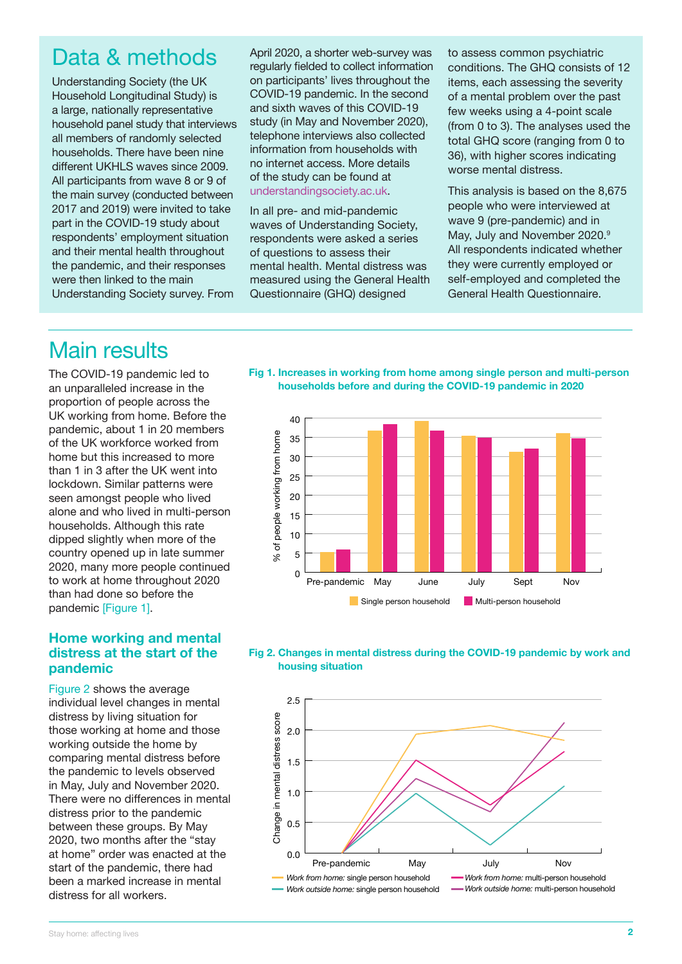### <span id="page-1-0"></span>Data & methods

Understanding Society (the UK Household Longitudinal Study) is a large, nationally representative household panel study that interviews all members of randomly selected households. There have been nine different UKHLS waves since 2009. All participants from wave 8 or 9 of the main survey (conducted between 2017 and 2019) were invited to take part in the COVID-19 study about respondents' employment situation and their mental health throughout the pandemic, and their responses were then linked to the main Understanding Society survey. From

April 2020, a shorter web-survey was regularly fielded to collect information on participants' lives throughout the COVID-19 pandemic. In the second and sixth waves of this COVID-19 study (in May and November 2020), telephone interviews also collected information from households with no internet access. More details of the study can be found at [understandingsociety.ac.uk](https://www.understandingsociety.ac.uk/).

In all pre- and mid-pandemic waves of Understanding Society, respondents were asked a series of questions to assess their mental health. Mental distress was measured using the General Health Questionnaire (GHQ) designed

to assess common psychiatric conditions. The GHQ consists of 12 items, each assessing the severity of a mental problem over the past few weeks using a 4-point scale (from 0 to 3). The analyses used the total GHQ score (ranging from 0 to 36), with higher scores indicating worse mental distress.

This analysis is based on the 8,675 people who were interviewed at wave 9 (pre-pandemic) and in May, July and November 2020.<sup>[9](#page-4-0)</sup> All respondents indicated whether they were currently employed or self-employed and completed the General Health Questionnaire.

### Main results

The COVID-19 pandemic led to an unparalleled increase in the proportion of people across the UK working from home. Before the pandemic, about 1 in 20 members of the UK workforce worked from home but this increased to more than 1 in 3 after the UK went into lockdown. Similar patterns were seen amongst people who lived alone and who lived in multi-person households. Although this rate dipped slightly when more of the country opened up in late summer 2020, many more people continued to work at home throughout 2020 than had done so before the pandemic [Figure 1].

#### **Home working and mental distress at the start of the pandemic**

Figure 2 shows the average individual level changes in mental distress by living situation for those working at home and those working outside the home by comparing mental distress before the pandemic to levels observed in May, July and November 2020. There were no differences in mental distress prior to the pandemic between these groups. By May 2020, two months after the "stay at home" order was enacted at the start of the pandemic, there had been a marked increase in mental distress for all workers.

**Fig 1. Increases in working from home among single person and multi-person households before and during the COVID-19 pandemic in 2020** 





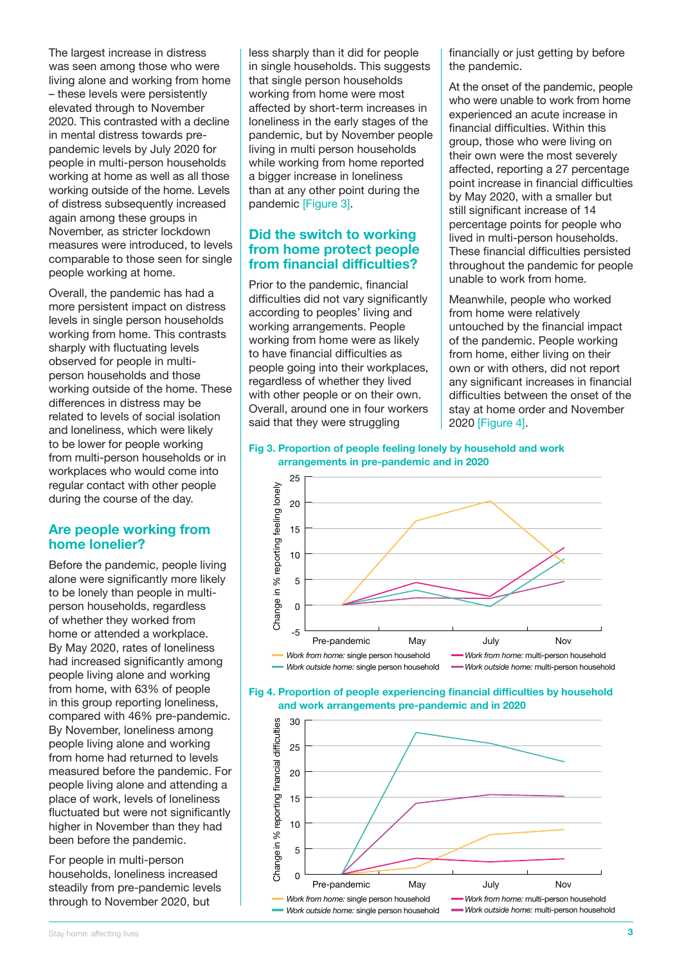The largest increase in distress was seen among those who were living alone and working from home – these levels were persistently elevated through to November 2020. This contrasted with a decline in mental distress towards prepandemic levels by July 2020 for people in multi-person households working at home as well as all those working outside of the home. Levels of distress subsequently increased again among these groups in November, as stricter lockdown measures were introduced, to levels comparable to those seen for single people working at home.

Overall, the pandemic has had a more persistent impact on distress levels in single person households working from home. This contrasts sharply with fluctuating levels observed for people in multiperson households and those working outside of the home. These differences in distress may be related to levels of social isolation and loneliness, which were likely to be lower for people working from multi-person households or in workplaces who would come into regular contact with other people during the course of the day.

#### **Are people working from home lonelier?**

Before the pandemic, people living alone were significantly more likely to be lonely than people in multiperson households, regardless of whether they worked from home or attended a workplace. By May 2020, rates of loneliness had increased significantly among people living alone and working from home, with 63% of people in this group reporting loneliness, compared with 46% pre-pandemic. By November, loneliness among people living alone and working from home had returned to levels measured before the pandemic. For people living alone and attending a place of work, levels of loneliness fluctuated but were not significantly higher in November than they had been before the pandemic.

For people in multi-person households, loneliness increased steadily from pre-pandemic levels through to November 2020, but

less sharply than it did for people in single households. This suggests that single person households working from home were most affected by short-term increases in loneliness in the early stages of the pandemic, but by November people living in multi person households while working from home reported a bigger increase in loneliness than at any other point during the pandemic [Figure 3].

#### **Did the switch to working from home protect people from financial difficulties?**

Prior to the pandemic, financial difficulties did not vary significantly according to peoples' living and working arrangements. People working from home were as likely to have financial difficulties as people going into their workplaces, regardless of whether they lived with other people or on their own. Overall, around one in four workers said that they were struggling

financially or just getting by before the pandemic.

At the onset of the pandemic, people who were unable to work from home experienced an acute increase in financial difficulties. Within this group, those who were living on their own were the most severely affected, reporting a 27 percentage point increase in financial difficulties by May 2020, with a smaller but still significant increase of 14 percentage points for people who lived in multi-person households. These financial difficulties persisted throughout the pandemic for people unable to work from home.

Meanwhile, people who worked from home were relatively untouched by the financial impact of the pandemic. People working from home, either living on their own or with others, did not report any significant increases in financial difficulties between the onset of the stay at home order and November 2020 [Figure 4].

#### **Fig 3. Proportion of people feeling lonely by household and work arrangements in pre-pandemic and in 2020**





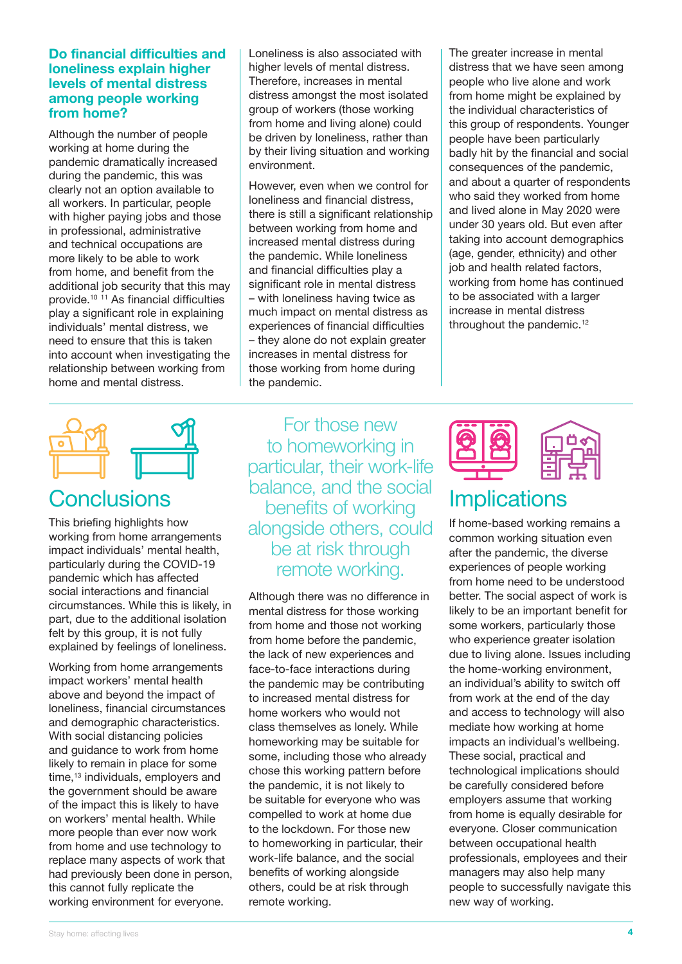#### <span id="page-3-0"></span>**Do financial difficulties and loneliness explain higher levels of mental distress among people working from home?**

Although the number of people working at home during the pandemic dramatically increased during the pandemic, this was clearly not an option available to all workers. In particular, people with higher paying jobs and those in professional, administrative and technical occupations are more likely to be able to work from home, and benefit from the additional job security that this may provide.[10](#page-4-0) [11](#page-4-0) As financial difficulties play a significant role in explaining individuals' mental distress, we need to ensure that this is taken into account when investigating the relationship between working from home and mental distress.

Loneliness is also associated with higher levels of mental distress. Therefore, increases in mental distress amongst the most isolated group of workers (those working from home and living alone) could be driven by loneliness, rather than by their living situation and working environment.

However, even when we control for loneliness and financial distress, there is still a significant relationship between working from home and increased mental distress during the pandemic. While loneliness and financial difficulties play a significant role in mental distress – with loneliness having twice as much impact on mental distress as experiences of financial difficulties – they alone do not explain greater increases in mental distress for those working from home during the pandemic.

The greater increase in mental distress that we have seen among people who live alone and work from home might be explained by the individual characteristics of this group of respondents. Younger people have been particularly badly hit by the financial and social consequences of the pandemic, and about a quarter of respondents who said they worked from home and lived alone in May 2020 were under 30 years old. But even after taking into account demographics (age, gender, ethnicity) and other job and health related factors, working from home has continued to be associated with a larger increase in mental distress throughout the pandemic.[12](#page-4-0)



This briefing highlights how working from home arrangements impact individuals' mental health, particularly during the COVID-19 pandemic which has affected social interactions and financial circumstances. While this is likely, in part, due to the additional isolation felt by this group, it is not fully explained by feelings of loneliness.

Working from home arrangements impact workers' mental health above and beyond the impact of loneliness, financial circumstances and demographic characteristics. With social distancing policies and guidance to work from home likely to remain in place for some time,<sup>[13](#page-4-0)</sup> individuals, employers and the government should be aware of the impact this is likely to have on workers' mental health. While more people than ever now work from home and use technology to replace many aspects of work that had previously been done in person, this cannot fully replicate the working environment for everyone.

For those new to homeworking in particular, their work-life balance, and the social benefits of working alongside others, could be at risk through remote working.

Although there was no difference in mental distress for those working from home and those not working from home before the pandemic, the lack of new experiences and face-to-face interactions during the pandemic may be contributing to increased mental distress for home workers who would not class themselves as lonely. While homeworking may be suitable for some, including those who already chose this working pattern before the pandemic, it is not likely to be suitable for everyone who was compelled to work at home due to the lockdown. For those new to homeworking in particular, their work-life balance, and the social benefits of working alongside others, could be at risk through remote working.



# **Implications**

If home-based working remains a common working situation even after the pandemic, the diverse experiences of people working from home need to be understood better. The social aspect of work is likely to be an important benefit for some workers, particularly those who experience greater isolation due to living alone. Issues including the home-working environment, an individual's ability to switch off from work at the end of the day and access to technology will also mediate how working at home impacts an individual's wellbeing. These social, practical and technological implications should be carefully considered before employers assume that working from home is equally desirable for everyone. Closer communication between occupational health professionals, employees and their managers may also help many people to successfully navigate this new way of working.